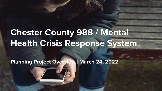# **Chester County 988 / Mental Health Crisis Response System**

**Planning Project Overview | March 24, 2022**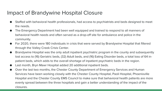#### Impact of Brandywine Hospital Closure

- Staffed with behavioral health professionals, had access to psychiatrists and beds designed to meet the needs.
- The Emergency Department had been well equipped and trained to respond to all manners of behavioral health needs and often served as a drop-off site for ambulance and police in the community.
- For 2020, there were 180 individuals in crisis that were served by Brandywine Hospital that filtered through the Valley Creek Crisis Center.
- Brandywine Hospital was the only adult inpatient psychiatric program in the county and subsequently lost access to (16) Geriatric beds, (32) Adult beds, and (16) Eating Disorder beds, a total loss of 64 inpatient beds, which adds to the overall shortage of inpatient psychiatric beds in the region.
- Last month, Bryn Mawr Hospital added 20 additional inpatient beds.
- Over the last two months, the Chester County Department of Emergency Services and Human Services have been working closely with the Chester County Hospital, Paoli Hospital, Phoenixville Hospital and the Chester County EMS Council to make sure that behavioral health patients are more evenly spread between the three hospitals and gain a better understanding of the impact of the closures.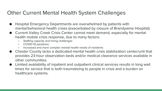### Other Current Mental Health System Challenges

- Hospital Emergency Departments are overwhelmed by patients with mental/behavioral health crises (exacerbated by closure of Brandywine Hospital).
- Current Valley Creek Crisis Center cannot meet demand, especially for mental health mobile crisis response, due to many factors:
	- Staffing capacity and hiring challenges
	- COVID-19 pandemic
	- Increased and more complex mental health needs of residents
- Chester County lacks a dedicated mental health crisis stabilization center/unit that provides 23-hour observation beds and/or medical clearance services available in other communities.
- Limited availability of inpatient and outpatient clinical services results in long wait times for service that is both traumatizing to people in crisis and a burden on healthcare systems.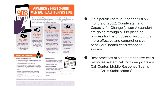

#### What is 988

988 is a safety net for people experiencing a mental health emergency. If fully funded, mobile crisis teams will respond in-person and connect people to care when needed.

**HOW CAN YOU HELP? General public & advocates** 

that ensures people get the help they need.

crises

policymakers.

• Contact your Congressional representatives and ask them

• Contact your state representatives and ask them to pass

. Ensure 988 implementation and crisis services are key

priorities in policy agendas for both state and federal

. Engage people with lived experience to inform policy asks.

a bill that includes 988 user fees to support a crisis system that provides a mental health response to mental health

to support states in building a crisis response infrastructure



use it?

you or someone you know is having suicidal thoughts, experiencing delusions, or displaying severe symptoms of mental illness, you should call 988 instead of 911.



**AMERICA'S FIRST 3-DIGIT** MENTAL HEALTH CRISIS LINE

#### v do we need it Traditionally, police have

an average of 10% of law

transporting persons with

untreated mental illness are 16

times more likely to be killed

during a police encounter than

other civilians.<sup>2</sup>

responded to mental health emergencies, which require tremendous local resources Once 988 goes live, if and often result in criminalizing mental illness. In fact, in 2017, enforcement agencies' total budgets and 21% of staff time were spent responding to and mental illness.<sup>3</sup> People with

system supporting 988 when it goes live by July 2022.



Even before the COVID-19 pandemic. America was suffering historically high suicide and overdose rates and mental health challenges, In 2020 Congress approved 988 to help, but a phone number alone isn't enough. Each state must have a fully-funded crisis response



#### What is needed to make 988 work?

Every state needs:

- · 24/7 call centers that are adequately staffed by mental health professionals who are specially trained to respond to crises.
- · Mobile response teams that are equipped for differing scenarios.
- · Crisis stabilization services that also connect people to follow-up care.
- 
- . Introduce and pass bills that include 988 user fees to support crisis call centers and non-billable mobile crisis and crisis stabilization program costs.
- **Federal policymakers**

**State policymakers** 

- · Ensure federal coordination and technical assistance for 988 implementation.
- . Provide funding for states to develop and maintain an effective crisis response infrastructure.
- · Ensure all payers, including commercial insurers, cover crisis services.

months of 2022, County staff and Capacity for Change (Jason Alexander) are going through a 988 planning process for the purpose of instituting a more effective and comprehensive behavioral health crisis response system.

On a parallel path, during the first six

Best practices of a comprehensive crisis response system call for three pillars – a Call Center, Mobile Response Teams and a Crisis Stabilization Center.

ttp://www.tratnertaónceryanter.og/taó kures<br>www.tratnertafwr.opperter.op/ex-isseptranalizetan-of-eartsi-illass/309-pepte-with-entspielnest@illess-%-tenen-noe-litei-to-te-kiledro-bu-aritotanem

The National Action Alliance for Suicide Prevention's Mental Health & Suicide Prevention National Response to COND-19 | "National Response") collaborated with chief executives of the nation's leading mental health advocacy organizations and professional associations ("The CEO Huddle") to develop this infographic, which reflects the alignment of both the National Response's An Action Plan for Strangthening Mental Health and the Pleasation of Suicide in the Aftermath of CDVD-19 and the CEO Hutche's A Unidial Vision for the Future of Mental Health. Addiction, and Well-Being in the United States To learn more, visit NationalMentalHealthResponse and CrisioResponse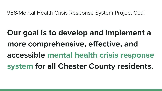988/Mental Health Crisis Response System Project Goal

**Our goal is to develop and implement a more comprehensive, effective, and accessible mental health crisis response system for all Chester County residents.**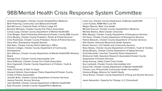#### 988/Mental Health Crisis Response System Committee

Aneesha Dhargalkar, Chester County Hospital/Penn Medicine Beth Pickering, Community Care Behavioral Health Bob McCarron, Fraternal Order of Police Lodge #11 Brandon Michaels, Chester County Fire Police Association Candy Craig, Chester County Department of Mental Health/IDD Chaz Brogan, Good Fellowship Ambulance/Chester County EMS Council Chris Murphy, Chester County Probation, Parole & Pretrial Services Chris Pawlowski, Chester County Probation, Parole & Pretrial Services Dave Klein, Brandywine Hospital (former) Deb Ryan, Chester County District Attorney's Office Dolores Colligan, Chester County Department of Community Development Don Altemus, Chester County Department of Mental Health/IDD Advisory Board George Fiore, Chester County Intermediate Unit Gerry DiNunzio, Chester County Fire Chiefs Association Gina Vagnarelli, Chester County Department of Children, Youth & Families Holly O'Connell, A Path To Hope Howard Holland, Downingtown Police Department/Chester County Chiefs of Police Association Jennifer Brion, Chester County Department of Human Services Jessica Fenchel. Access Services Josh Warfield, Chester County Department of Mental Health/IDD Kyle Finucane, Chester County Hospital/Penn Medicine

Linda Cox, Chester County Department of Mental Health/IDD Loran Kundra, NAMI Main Line PA Megan Wesner, Main Line Health Michael Duncan, Chester County Hospital/Penn Medicine Michele Bratina, West Chester University Mike Murphy, Chester County Department of Emergency Services Pat Davis, Chester County Department of Emergency Services Patrick Bokovitz, Chester County Department of Human Services Rob Gilman, Holcomb Behavioral Health Systems Ronan Gannon, LCH Health and Community Services Rosa Stokes, Chester County Department of Children, Youth & Families Sandy Murphy, Chester County Department of Aging Services Scott Alexander, Uwchlan Township Police Department Shivkumar Hatti, Suburban Research Associates/Chester County Department of Human Services Sonja Kenney, Valley Creek Crisis Center Sue Lombardi, Chester County Intermediate Unit Susie Fink, Chester County Department of Mental Health/IDD Tamela Luce, Phoenixville Community Health Foundation Vanessa Briggs, Alliance for Health Equity Vince Brown, Chester County Department of Drug and Alcohol Services

Jason Alexander, Capacity for Change, LLC (Consultant)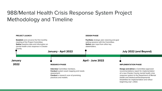## 988/Mental Health Crisis Response System Project Methodology and Timeline

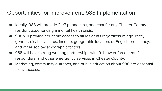#### Opportunities for Improvement: 988 Implementation

- Ideally, 988 will provide 24/7 phone, text, and chat for any Chester County resident experiencing a mental health crisis.
- 988 will provide equitable access to all residents regardless of age, race, gender, disability status, income, geographic location, or English proficiency, and other socio-demographic factors.
- 988 will have strong working partnerships with 911, law enforcement, first responders, and other emergency services in Chester County.
- Marketing, community outreach, and public education about 988 are essential to its success.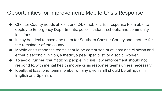### Opportunities for Improvement: Mobile Crisis Response

- Chester County needs at least one 24/7 mobile crisis response team able to deploy to Emergency Departments, police stations, schools, and community locations.
- It may be ideal to have one team for Southern Chester County and another for the remainder of the county.
- Mobile crisis response teams should be comprised of at least one clinician and either a second clinician, a medic, a peer specialist, or a social worker.
- To avoid (further) traumatizing people in crisis, law enforcement should not respond to/with mental health mobile crisis response teams unless necessary.
- Ideally, at least one team member on any given shift should be bilingual in English and Spanish.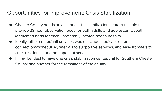#### Opportunities for Improvement: Crisis Stabilization

- Chester County needs at least one crisis stabilization center/unit able to provide 23-hour observation beds for both adults and adolescents/youth (dedicated beds for each), preferably located near a hospital.
- Ideally, other center/unit services would include medical clearance, connections/scheduling/referrals to supportive services, and easy transfers to crisis residential or other inpatient services.
- It may be ideal to have one crisis stabilization center/unit for Southern Chester County and another for the remainder of the county.